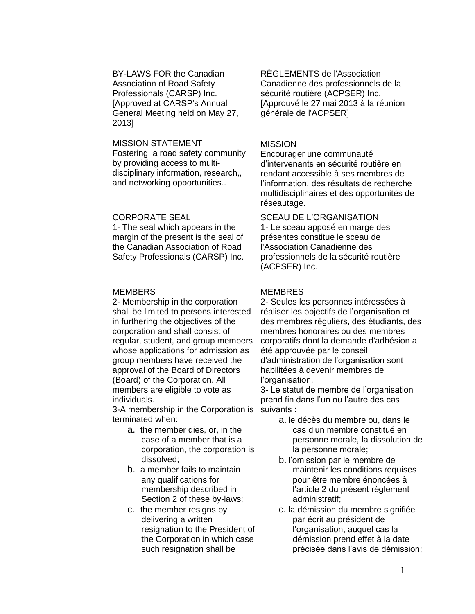## BY-LAWS FOR the Canadian Association of Road Safety Professionals (CARSP) Inc. [Approved at CARSP's Annual General Meeting held on May 27, 2013]

## MISSION STATEMENT

Fostering a road safety community by providing access to multidisciplinary information, research,, and networking opportunities..

# CORPORATE SEAL

1- The seal which appears in the margin of the present is the seal of the Canadian Association of Road Safety Professionals (CARSP) Inc.

# **MEMBERS**

2- Membership in the corporation shall be limited to persons interested in furthering the objectives of the corporation and shall consist of regular, student, and group members whose applications for admission as group members have received the approval of the Board of Directors (Board) of the Corporation. All members are eligible to vote as individuals.

3-A membership in the Corporation is terminated when:

- a. the member dies, or, in the case of a member that is a corporation, the corporation is dissolved;
- b. a member fails to maintain any qualifications for membership described in Section 2 of these by-laws;
- c. the member resigns by delivering a written resignation to the President of the Corporation in which case such resignation shall be

RÈGLEMENTS de l'Association Canadienne des professionnels de la sécurité routière (ACPSER) Inc. [Approuvé le 27 mai 2013 à la réunion générale de l'ACPSER]

# MISSION

Encourager une communauté d'intervenants en sécurité routière en rendant accessible à ses membres de l'information, des résultats de recherche multidisciplinaires et des opportunités de réseautage.

SCEAU DE L'ORGANISATION 1- Le sceau apposé en marge des présentes constitue le sceau de l'Association Canadienne des professionnels de la sécurité routière (ACPSER) Inc.

# **MEMBRES**

2- Seules les personnes intéressées à réaliser les objectifs de l'organisation et des membres réguliers, des étudiants, des membres honoraires ou des membres corporatifs dont la demande d'adhésion a été approuvée par le conseil d'administration de l'organisation sont habilitées à devenir membres de l'organisation.

3- Le statut de membre de l'organisation prend fin dans l'un ou l'autre des cas suivants :

- a. le décès du membre ou, dans le cas d'un membre constitué en personne morale, la dissolution de la personne morale;
- b. l'omission par le membre de maintenir les conditions requises pour être membre énoncées à l'article 2 du présent règlement administratif;
- c. la démission du membre signifiée par écrit au président de l'organisation, auquel cas la démission prend effet à la date précisée dans l'avis de démission;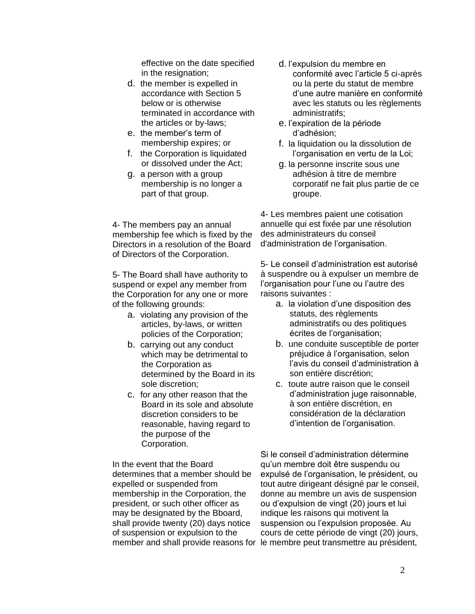effective on the date specified in the resignation;

- d. the member is expelled in accordance with Section 5 below or is otherwise terminated in accordance with the articles or by-laws;
- e. the member's term of membership expires; or
- f. the Corporation is liquidated or dissolved under the Act;
- g. a person with a group membership is no longer a part of that group.

4- The members pay an annual membership fee which is fixed by the Directors in a resolution of the Board of Directors of the Corporation.

5- The Board shall have authority to suspend or expel any member from the Corporation for any one or more of the following grounds:

- a. violating any provision of the articles, by-laws, or written policies of the Corporation;
- b. carrying out any conduct which may be detrimental to the Corporation as determined by the Board in its sole discretion;
- c. for any other reason that the Board in its sole and absolute discretion considers to be reasonable, having regard to the purpose of the Corporation.

In the event that the Board determines that a member should be expelled or suspended from membership in the Corporation, the president, or such other officer as may be designated by the Bboard, shall provide twenty (20) days notice of suspension or expulsion to the

- d. l'expulsion du membre en conformité avec l'article 5 ci-après ou la perte du statut de membre d'une autre manière en conformité avec les statuts ou les règlements administratifs;
- e. l'expiration de la période d'adhésion;
- f. la liquidation ou la dissolution de l'organisation en vertu de la Loi;
- g. la personne inscrite sous une adhésion à titre de membre corporatif ne fait plus partie de ce groupe.

4- Les membres paient une cotisation annuelle qui est fixée par une résolution des administrateurs du conseil d'administration de l'organisation.

5- Le conseil d'administration est autorisé à suspendre ou à expulser un membre de l'organisation pour l'une ou l'autre des raisons suivantes :

- a. la violation d'une disposition des statuts, des règlements administratifs ou des politiques écrites de l'organisation;
- b. une conduite susceptible de porter préjudice à l'organisation, selon l'avis du conseil d'administration à son entière discrétion;
- c. toute autre raison que le conseil d'administration juge raisonnable, à son entière discrétion, en considération de la déclaration d'intention de l'organisation.

member and shall provide reasons for le membre peut transmettre au président, Si le conseil d'administration détermine qu'un membre doit être suspendu ou expulsé de l'organisation, le président, ou tout autre dirigeant désigné par le conseil, donne au membre un avis de suspension ou d'expulsion de vingt (20) jours et lui indique les raisons qui motivent la suspension ou l'expulsion proposée. Au cours de cette période de vingt (20) jours,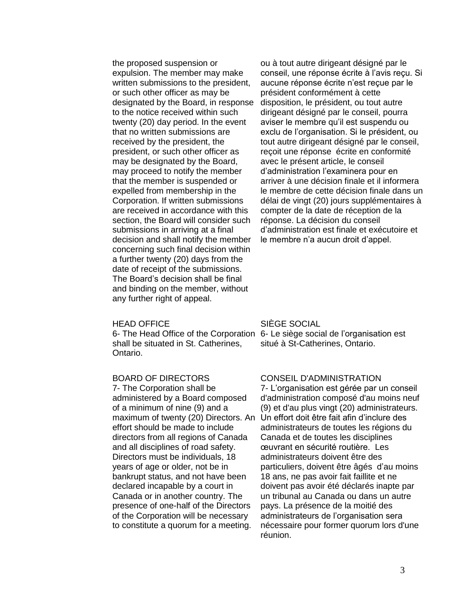the proposed suspension or expulsion. The member may make written submissions to the president, or such other officer as may be designated by the Board, in response to the notice received within such twenty (20) day period. In the event that no written submissions are received by the president, the president, or such other officer as may be designated by the Board, may proceed to notify the member that the member is suspended or expelled from membership in the Corporation. If written submissions are received in accordance with this section, the Board will consider such submissions in arriving at a final decision and shall notify the member concerning such final decision within a further twenty (20) days from the date of receipt of the submissions. The Board's decision shall be final and binding on the member, without any further right of appeal.

#### HEAD OFFICE

6- The Head Office of the Corporation 6- Le siège social de l'organisation est shall be situated in St. Catherines, Ontario.

# BOARD OF DIRECTORS

7- The Corporation shall be administered by a Board composed of a minimum of nine (9) and a maximum of twenty (20) Directors. An effort should be made to include directors from all regions of Canada and all disciplines of road safety. Directors must be individuals, 18 years of age or older, not be in bankrupt status, and not have been declared incapable by a court in Canada or in another country. The presence of one-half of the Directors of the Corporation will be necessary to constitute a quorum for a meeting.

ou à tout autre dirigeant désigné par le conseil, une réponse écrite à l'avis reçu. Si aucune réponse écrite n'est reçue par le président conformément à cette disposition, le président, ou tout autre dirigeant désigné par le conseil, pourra aviser le membre qu'il est suspendu ou exclu de l'organisation. Si le président, ou tout autre dirigeant désigné par le conseil, reçoit une réponse écrite en conformité avec le présent article, le conseil d'administration l'examinera pour en arriver à une décision finale et il informera le membre de cette décision finale dans un délai de vingt (20) jours supplémentaires à compter de la date de réception de la réponse. La décision du conseil d'administration est finale et exécutoire et le membre n'a aucun droit d'appel.

### SIÈGE SOCIAL

situé à St-Catherines, Ontario.

#### CONSEIL D'ADMINISTRATION

7- L'organisation est gérée par un conseil d'administration composé d'au moins neuf (9) et d'au plus vingt (20) administrateurs. Un effort doit être fait afin d'inclure des administrateurs de toutes les régions du Canada et de toutes les disciplines œuvrant en sécurité routière. Les administrateurs doivent être des particuliers, doivent être âgés d'au moins 18 ans, ne pas avoir fait faillite et ne doivent pas avoir été déclarés inapte par un tribunal au Canada ou dans un autre pays. La présence de la moitié des administrateurs de l'organisation sera nécessaire pour former quorum lors d'une réunion.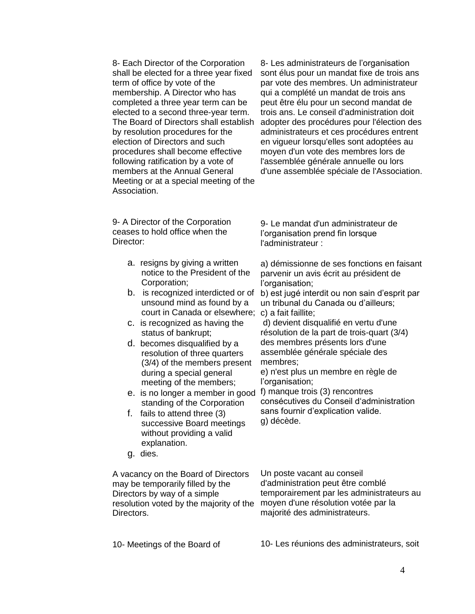8- Each Director of the Corporation shall be elected for a three year fixed term of office by vote of the membership. A Director who has completed a three year term can be elected to a second three-year term. The Board of Directors shall establish by resolution procedures for the election of Directors and such procedures shall become effective following ratification by a vote of members at the Annual General Meeting or at a special meeting of the Association.

9- A Director of the Corporation ceases to hold office when the Director:

- a. resigns by giving a written notice to the President of the Corporation;
- b. is recognized interdicted or of unsound mind as found by a court in Canada or elsewhere; c) a fait faillite;
- c. is recognized as having the status of bankrupt;
- d. becomes disqualified by a resolution of three quarters (3/4) of the members present during a special general meeting of the members;
- e. is no longer a member in good standing of the Corporation
- f. fails to attend three (3) successive Board meetings without providing a valid explanation.
- g. dies.

A vacancy on the Board of Directors may be temporarily filled by the Directors by way of a simple resolution voted by the majority of the Directors.

10- Meetings of the Board of

8- Les administrateurs de l'organisation sont élus pour un mandat fixe de trois ans par vote des membres. Un administrateur qui a complété un mandat de trois ans peut être élu pour un second mandat de trois ans. Le conseil d'administration doit adopter des procédures pour l'élection des administrateurs et ces procédures entrent en vigueur lorsqu'elles sont adoptées au moyen d'un vote des membres lors de l'assemblée générale annuelle ou lors d'une assemblée spéciale de l'Association.

9- Le mandat d'un administrateur de l'organisation prend fin lorsque l'administrateur :

a) démissionne de ses fonctions en faisant parvenir un avis écrit au président de l'organisation;

b) est jugé interdit ou non sain d'esprit par un tribunal du Canada ou d'ailleurs;

d) devient disqualifié en vertu d'une résolution de la part de trois-quart (3/4) des membres présents lors d'une assemblée générale spéciale des membres;

e) n'est plus un membre en règle de l'organisation;

f) manque trois (3) rencontres consécutives du Conseil d'administration sans fournir d'explication valide. g) décède.

Un poste vacant au conseil d'administration peut être comblé temporairement par les administrateurs au moyen d'une résolution votée par la majorité des administrateurs.

10- Les réunions des administrateurs, soit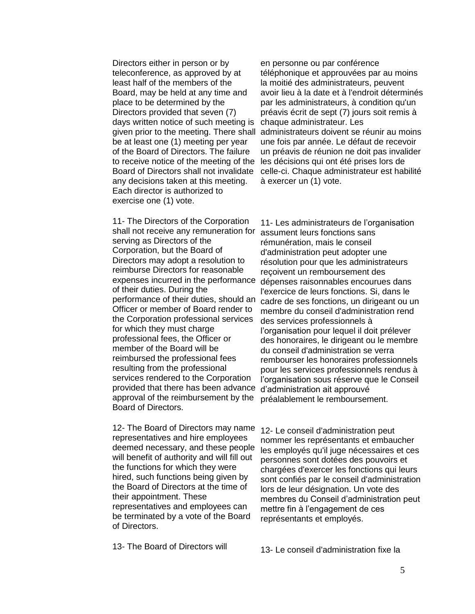Directors either in person or by teleconference, as approved by at least half of the members of the Board, may be held at any time and place to be determined by the Directors provided that seven (7) days written notice of such meeting is be at least one (1) meeting per year of the Board of Directors. The failure to receive notice of the meeting of the Board of Directors shall not invalidate any decisions taken at this meeting. Each director is authorized to exercise one (1) vote.

11- The Directors of the Corporation shall not receive any remuneration for serving as Directors of the Corporation, but the Board of Directors may adopt a resolution to reimburse Directors for reasonable expenses incurred in the performance of their duties. During the performance of their duties, should an Officer or member of Board render to the Corporation professional services for which they must charge professional fees, the Officer or member of the Board will be reimbursed the professional fees resulting from the professional services rendered to the Corporation provided that there has been advance approval of the reimbursement by the Board of Directors.

12- The Board of Directors may name representatives and hire employees deemed necessary, and these people will benefit of authority and will fill out the functions for which they were hired, such functions being given by the Board of Directors at the time of their appointment. These representatives and employees can be terminated by a vote of the Board of Directors.

13- The Board of Directors will

given prior to the meeting. There shall administrateurs doivent se réunir au moins en personne ou par conférence téléphonique et approuvées par au moins la moitié des administrateurs, peuvent avoir lieu à la date et à l'endroit déterminés par les administrateurs, à condition qu'un préavis écrit de sept (7) jours soit remis à chaque administrateur. Les une fois par année. Le défaut de recevoir un préavis de réunion ne doit pas invalider les décisions qui ont été prises lors de celle-ci. Chaque administrateur est habilité à exercer un (1) vote.

> 11- Les administrateurs de l'organisation assument leurs fonctions sans rémunération, mais le conseil d'administration peut adopter une résolution pour que les administrateurs reçoivent un remboursement des dépenses raisonnables encourues dans l'exercice de leurs fonctions. Si, dans le cadre de ses fonctions, un dirigeant ou un membre du conseil d'administration rend des services professionnels à l'organisation pour lequel il doit prélever des honoraires, le dirigeant ou le membre du conseil d'administration se verra rembourser les honoraires professionnels pour les services professionnels rendus à l'organisation sous réserve que le Conseil d'administration ait approuvé préalablement le remboursement.

12- Le conseil d'administration peut nommer les représentants et embaucher les employés qu'il juge nécessaires et ces personnes sont dotées des pouvoirs et chargées d'exercer les fonctions qui leurs sont confiés par le conseil d'administration lors de leur désignation. Un vote des membres du Conseil d'administration peut mettre fin à l'engagement de ces représentants et employés.

13- Le conseil d'administration fixe la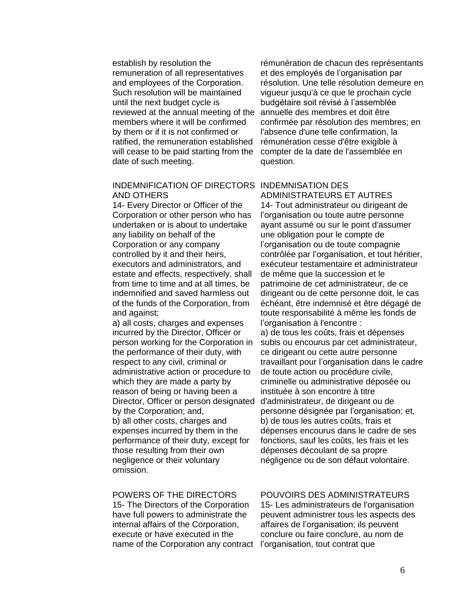establish by resolution the remuneration of all representatives and employees of the Corporation. Such resolution will be maintained until the next budget cycle is reviewed at the annual meeting of the members where it will be confirmed by them or if it is not confirmed or ratified, the remuneration established will cease to be paid starting from the date of such meeting.

### INDEMNIFICATION OF DIRECTORS INDEMNISATION DES AND OTHERS

14- Every Director or Officer of the Corporation or other person who has undertaken or is about to undertake any liability on behalf of the Corporation or any company controlled by it and their heirs, executors and administrators, and estate and effects, respectively, shall from time to time and at all times, be indemnified and saved harmless out of the funds of the Corporation, from and against;

a) all costs, charges and expenses incurred by the Director, Officer or person working for the Corporation in the performance of their duty, with respect to any civil, criminal or administrative action or procedure to which they are made a party by reason of being or having been a Director, Officer or person designated by the Corporation; and, b) all other costs, charges and expenses incurred by them in the performance of their duty, except for those resulting from their own negligence or their voluntary omission.

# POWERS OF THE DIRECTORS

15- The Directors of the Corporation have full powers to administrate the internal affairs of the Corporation, execute or have executed in the name of the Corporation any contract l'organisation, tout contrat que

rémunération de chacun des représentants et des employés de l'organisation par résolution. Une telle résolution demeure en vigueur jusqu'à ce que le prochain cycle budgétaire soit révisé à l'assemblée annuelle des membres et doit être confirmée par résolution des membres; en l'absence d'une telle confirmation, la rémunération cesse d'être exigible à compter de la date de l'assemblée en question.

ADMINISTRATEURS ET AUTRES 14- Tout administrateur ou dirigeant de l'organisation ou toute autre personne ayant assumé ou sur le point d'assumer une obligation pour le compte de l'organisation ou de toute compagnie contrôlée par l'organisation, et tout héritier, exécuteur testamentaire et administrateur de même que la succession et le patrimoine de cet administrateur, de ce dirigeant ou de cette personne doit, le cas échéant, être indemnisé et être dégagé de toute responsabilité à même les fonds de l'organisation à l'encontre :

a) de tous les coûts, frais et dépenses subis ou encourus par cet administrateur, ce dirigeant ou cette autre personne travaillant pour l'organisation dans le cadre de toute action ou procédure civile, criminelle ou administrative déposée ou instituée à son encontre à titre d'administrateur, de dirigeant ou de personne désignée par l'organisation; et, b) de tous les autres coûts, frais et dépenses encourus dans le cadre de ses fonctions, sauf les coûts, les frais et les dépenses découlant de sa propre négligence ou de son défaut volontaire.

# POUVOIRS DES ADMINISTRATEURS

15- Les administrateurs de l'organisation peuvent administrer tous les aspects des affaires de l'organisation; ils peuvent conclure ou faire conclure, au nom de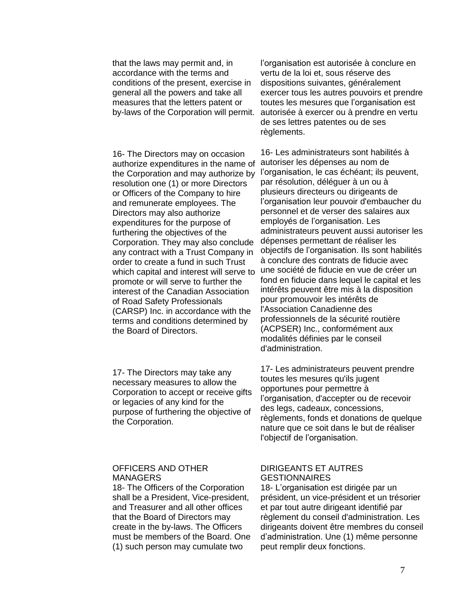that the laws may permit and, in accordance with the terms and conditions of the present, exercise in general all the powers and take all measures that the letters patent or by-laws of the Corporation will permit.

16- The Directors may on occasion authorize expenditures in the name of the Corporation and may authorize by resolution one (1) or more Directors or Officers of the Company to hire and remunerate employees. The Directors may also authorize expenditures for the purpose of furthering the objectives of the Corporation. They may also conclude any contract with a Trust Company in order to create a fund in such Trust which capital and interest will serve to promote or will serve to further the interest of the Canadian Association of Road Safety Professionals (CARSP) Inc. in accordance with the terms and conditions determined by the Board of Directors.

17- The Directors may take any necessary measures to allow the Corporation to accept or receive gifts or legacies of any kind for the purpose of furthering the objective of the Corporation.

# OFFICERS AND OTHER **MANAGERS**

18- The Officers of the Corporation shall be a President, Vice-president, and Treasurer and all other offices that the Board of Directors may create in the by-laws. The Officers must be members of the Board. One (1) such person may cumulate two

l'organisation est autorisée à conclure en vertu de la loi et, sous réserve des dispositions suivantes, généralement exercer tous les autres pouvoirs et prendre toutes les mesures que l'organisation est autorisée à exercer ou à prendre en vertu de ses lettres patentes ou de ses règlements.

16- Les administrateurs sont habilités à autoriser les dépenses au nom de l'organisation, le cas échéant; ils peuvent, par résolution, déléguer à un ou à plusieurs directeurs ou dirigeants de l'organisation leur pouvoir d'embaucher du personnel et de verser des salaires aux employés de l'organisation. Les administrateurs peuvent aussi autoriser les dépenses permettant de réaliser les objectifs de l'organisation. Ils sont habilités à conclure des contrats de fiducie avec une société de fiducie en vue de créer un fond en fiducie dans lequel le capital et les intérêts peuvent être mis à la disposition pour promouvoir les intérêts de l'Association Canadienne des professionnels de la sécurité routière (ACPSER) Inc., conformément aux modalités définies par le conseil d'administration.

17- Les administrateurs peuvent prendre toutes les mesures qu'ils jugent opportunes pour permettre à l'organisation, d'accepter ou de recevoir des legs, cadeaux, concessions, règlements, fonds et donations de quelque nature que ce soit dans le but de réaliser l'objectif de l'organisation.

# DIRIGEANTS ET AUTRES **GESTIONNAIRES**

18- L'organisation est dirigée par un président, un vice-président et un trésorier et par tout autre dirigeant identifié par règlement du conseil d'administration. Les dirigeants doivent être membres du conseil d'administration. Une (1) même personne peut remplir deux fonctions.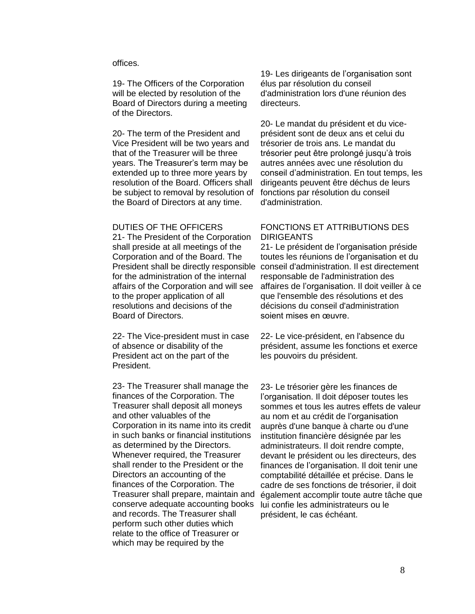### offices.

19- The Officers of the Corporation will be elected by resolution of the Board of Directors during a meeting of the Directors.

20- The term of the President and Vice President will be two years and that of the Treasurer will be three years. The Treasurer's term may be extended up to three more years by resolution of the Board. Officers shall be subject to removal by resolution of the Board of Directors at any time.

#### DUTIES OF THE OFFICERS

21- The President of the Corporation shall preside at all meetings of the Corporation and of the Board. The for the administration of the internal affairs of the Corporation and will see to the proper application of all resolutions and decisions of the Board of Directors.

22- The Vice-president must in case of absence or disability of the President act on the part of the President.

23- The Treasurer shall manage the finances of the Corporation. The Treasurer shall deposit all moneys and other valuables of the Corporation in its name into its credit in such banks or financial institutions as determined by the Directors. Whenever required, the Treasurer shall render to the President or the Directors an accounting of the finances of the Corporation. The Treasurer shall prepare, maintain and conserve adequate accounting books and records. The Treasurer shall perform such other duties which relate to the office of Treasurer or which may be required by the

19- Les dirigeants de l'organisation sont élus par résolution du conseil d'administration lors d'une réunion des directeurs.

20- Le mandat du président et du viceprésident sont de deux ans et celui du trésorier de trois ans. Le mandat du trésorier peut être prolongé jusqu'à trois autres années avec une résolution du conseil d'administration. En tout temps, les dirigeants peuvent être déchus de leurs fonctions par résolution du conseil d'administration.

## FONCTIONS ET ATTRIBUTIONS DES DIRIGEANTS

President shall be directly responsible conseil d'administration. Il est directement 21- Le président de l'organisation préside toutes les réunions de l'organisation et du responsable de l'administration des affaires de l'organisation. Il doit veiller à ce que l'ensemble des résolutions et des décisions du conseil d'administration soient mises en œuvre.

> 22- Le vice-président, en l'absence du président, assume les fonctions et exerce les pouvoirs du président.

23- Le trésorier gère les finances de l'organisation. Il doit déposer toutes les sommes et tous les autres effets de valeur au nom et au crédit de l'organisation auprès d'une banque à charte ou d'une institution financière désignée par les administrateurs. Il doit rendre compte, devant le président ou les directeurs, des finances de l'organisation. Il doit tenir une comptabilité détaillée et précise. Dans le cadre de ses fonctions de trésorier, il doit également accomplir toute autre tâche que lui confie les administrateurs ou le président, le cas échéant.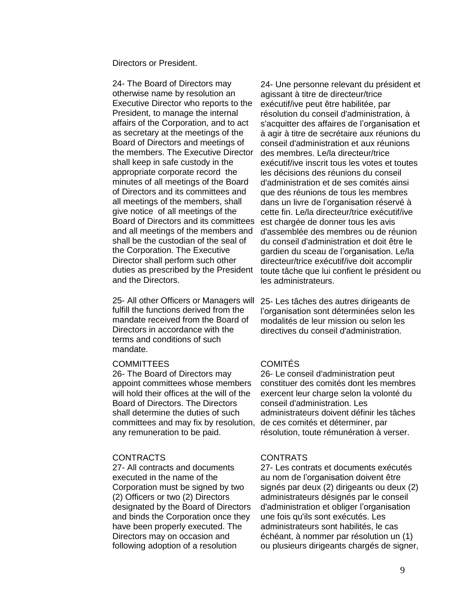Directors or President.

24- The Board of Directors may otherwise name by resolution an Executive Director who reports to the President, to manage the internal affairs of the Corporation, and to act as secretary at the meetings of the Board of Directors and meetings of the members. The Executive Director shall keep in safe custody in the appropriate corporate record the minutes of all meetings of the Board of Directors and its committees and all meetings of the members, shall give notice of all meetings of the Board of Directors and its committees and all meetings of the members and shall be the custodian of the seal of the Corporation. The Executive Director shall perform such other duties as prescribed by the President and the Directors.

25- All other Officers or Managers will fulfill the functions derived from the mandate received from the Board of Directors in accordance with the terms and conditions of such mandate.

#### **COMMITTEES**

26- The Board of Directors may appoint committees whose members will hold their offices at the will of the Board of Directors. The Directors shall determine the duties of such committees and may fix by resolution, any remuneration to be paid.

# **CONTRACTS**

27- All contracts and documents executed in the name of the Corporation must be signed by two (2) Officers or two (2) Directors designated by the Board of Directors and binds the Corporation once they have been properly executed. The Directors may on occasion and following adoption of a resolution

24- Une personne relevant du président et agissant à titre de directeur/trice exécutif/ive peut être habilitée, par résolution du conseil d'administration, à s'acquitter des affaires de l'organisation et à agir à titre de secrétaire aux réunions du conseil d'administration et aux réunions des membres. Le/la directeur/trice exécutif/ive inscrit tous les votes et toutes les décisions des réunions du conseil d'administration et de ses comités ainsi que des réunions de tous les membres dans un livre de l'organisation réservé à cette fin. Le/la directeur/trice exécutif/ive est chargée de donner tous les avis d'assemblée des membres ou de réunion du conseil d'administration et doit être le gardien du sceau de l'organisation. Le/la directeur/trice exécutif/ive doit accomplir toute tâche que lui confient le président ou les administrateurs.

25- Les tâches des autres dirigeants de l'organisation sont déterminées selon les modalités de leur mission ou selon les directives du conseil d'administration.

# COMITÉS

26- Le conseil d'administration peut constituer des comités dont les membres exercent leur charge selon la volonté du conseil d'administration. Les administrateurs doivent définir les tâches de ces comités et déterminer, par résolution, toute rémunération à verser.

# **CONTRATS**

27- Les contrats et documents exécutés au nom de l'organisation doivent être signés par deux (2) dirigeants ou deux (2) administrateurs désignés par le conseil d'administration et obliger l'organisation une fois qu'ils sont exécutés. Les administrateurs sont habilités, le cas échéant, à nommer par résolution un (1) ou plusieurs dirigeants chargés de signer,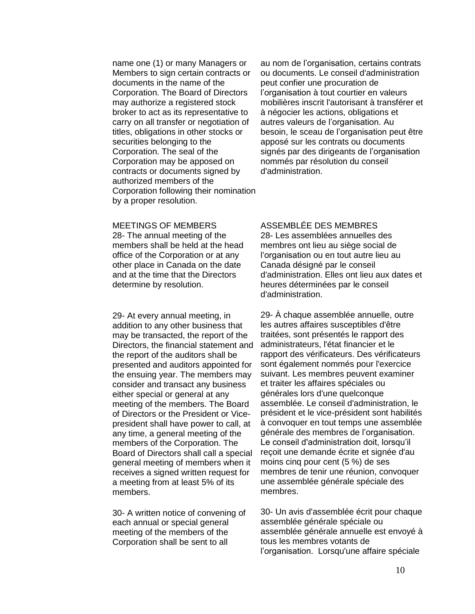name one (1) or many Managers or Members to sign certain contracts or documents in the name of the Corporation. The Board of Directors may authorize a registered stock broker to act as its representative to carry on all transfer or negotiation of titles, obligations in other stocks or securities belonging to the Corporation. The seal of the Corporation may be apposed on contracts or documents signed by authorized members of the Corporation following their nomination by a proper resolution.

au nom de l'organisation, certains contrats ou documents. Le conseil d'administration peut confier une procuration de l'organisation à tout courtier en valeurs mobilières inscrit l'autorisant à transférer et à négocier les actions, obligations et autres valeurs de l'organisation. Au besoin, le sceau de l'organisation peut être apposé sur les contrats ou documents signés par des dirigeants de l'organisation nommés par résolution du conseil d'administration.

#### MEETINGS OF MEMBERS

28- The annual meeting of the members shall be held at the head office of the Corporation or at any other place in Canada on the date and at the time that the Directors determine by resolution.

29- At every annual meeting, in addition to any other business that may be transacted, the report of the Directors, the financial statement and the report of the auditors shall be presented and auditors appointed for the ensuing year. The members may consider and transact any business either special or general at any meeting of the members. The Board of Directors or the President or Vicepresident shall have power to call, at any time, a general meeting of the members of the Corporation. The Board of Directors shall call a special general meeting of members when it receives a signed written request for a meeting from at least 5% of its members.

30- A written notice of convening of each annual or special general meeting of the members of the Corporation shall be sent to all

# ASSEMBLÉE DES MEMBRES

28- Les assemblées annuelles des membres ont lieu au siège social de l'organisation ou en tout autre lieu au Canada désigné par le conseil d'administration. Elles ont lieu aux dates et heures déterminées par le conseil d'administration.

29- À chaque assemblée annuelle, outre les autres affaires susceptibles d'être traitées, sont présentés le rapport des administrateurs, l'état financier et le rapport des vérificateurs. Des vérificateurs sont également nommés pour l'exercice suivant. Les membres peuvent examiner et traiter les affaires spéciales ou générales lors d'une quelconque assemblée. Le conseil d'administration, le président et le vice-président sont habilités à convoquer en tout temps une assemblée générale des membres de l'organisation. Le conseil d'administration doit, lorsqu'il reçoit une demande écrite et signée d'au moins cinq pour cent (5 %) de ses membres de tenir une réunion, convoquer une assemblée générale spéciale des membres.

30- Un avis d'assemblée écrit pour chaque assemblée générale spéciale ou assemblée générale annuelle est envoyé à tous les membres votants de l'organisation. Lorsqu'une affaire spéciale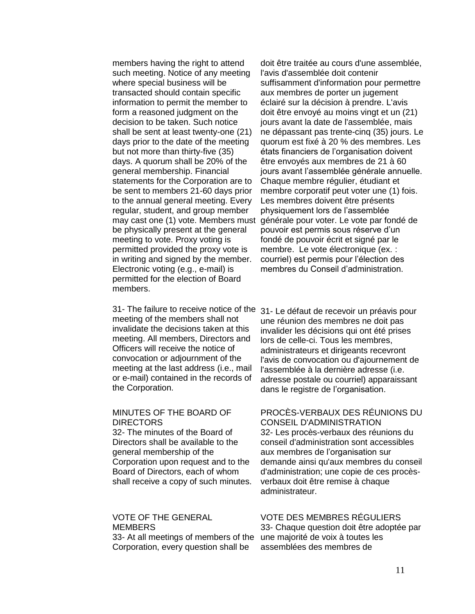members having the right to attend such meeting. Notice of any meeting where special business will be transacted should contain specific information to permit the member to form a reasoned judgment on the decision to be taken. Such notice shall be sent at least twenty-one (21) days prior to the date of the meeting but not more than thirty-five (35) days. A quorum shall be 20% of the general membership. Financial statements for the Corporation are to be sent to members 21-60 days prior to the annual general meeting. Every regular, student, and group member may cast one (1) vote. Members must be physically present at the general meeting to vote. Proxy voting is permitted provided the proxy vote is in writing and signed by the member. Electronic voting (e.g., e-mail) is permitted for the election of Board members.

31- The failure to receive notice of the 31- Le défaut de recevoir un préavis pour meeting of the members shall not invalidate the decisions taken at this meeting. All members, Directors and Officers will receive the notice of convocation or adjournment of the meeting at the last address (i.e., mail or e-mail) contained in the records of the Corporation.

## MINUTES OF THE BOARD OF **DIRECTORS**

32- The minutes of the Board of Directors shall be available to the general membership of the Corporation upon request and to the Board of Directors, each of whom shall receive a copy of such minutes.

# VOTE OF THE GENERAL **MEMBERS**

33- At all meetings of members of the Corporation, every question shall be

doit être traitée au cours d'une assemblée, l'avis d'assemblée doit contenir suffisamment d'information pour permettre aux membres de porter un jugement éclairé sur la décision à prendre. L'avis doit être envoyé au moins vingt et un (21) jours avant la date de l'assemblée, mais ne dépassant pas trente-cinq (35) jours. Le quorum est fixé à 20 % des membres. Les états financiers de l'organisation doivent être envoyés aux membres de 21 à 60 jours avant l'assemblée générale annuelle. Chaque membre régulier, étudiant et membre corporatif peut voter une (1) fois. Les membres doivent être présents physiquement lors de l'assemblée générale pour voter. Le vote par fondé de pouvoir est permis sous réserve d'un fondé de pouvoir écrit et signé par le membre. Le vote électronique (ex. : courriel) est permis pour l'élection des membres du Conseil d'administration.

une réunion des membres ne doit pas invalider les décisions qui ont été prises lors de celle-ci. Tous les membres, administrateurs et dirigeants recevront l'avis de convocation ou d'ajournement de l'assemblée à la dernière adresse (i.e. adresse postale ou courriel) apparaissant dans le registre de l'organisation.

## PROCÈS-VERBAUX DES RÉUNIONS DU CONSEIL D'ADMINISTRATION 32- Les procès-verbaux des réunions du conseil d'administration sont accessibles aux membres de l'organisation sur demande ainsi qu'aux membres du conseil d'administration; une copie de ces procèsverbaux doit être remise à chaque administrateur.

## VOTE DES MEMBRES RÉGULIERS

33- Chaque question doit être adoptée par une majorité de voix à toutes les assemblées des membres de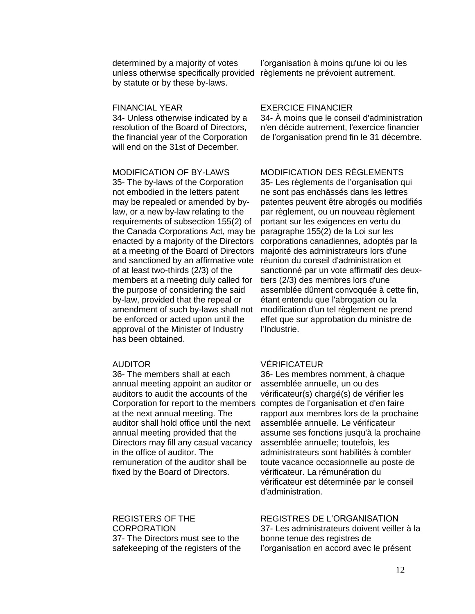determined by a majority of votes unless otherwise specifically provided règlements ne prévoient autrement. by statute or by these by-laws.

## FINANCIAL YEAR

34- Unless otherwise indicated by a resolution of the Board of Directors, the financial year of the Corporation will end on the 31st of December.

#### MODIFICATION OF BY-LAWS

35- The by-laws of the Corporation not embodied in the letters patent may be repealed or amended by bylaw, or a new by-law relating to the requirements of subsection 155(2) of the Canada Corporations Act, may be enacted by a majority of the Directors at a meeting of the Board of Directors and sanctioned by an affirmative vote of at least two-thirds (2/3) of the members at a meeting duly called for the purpose of considering the said by-law, provided that the repeal or amendment of such by-laws shall not be enforced or acted upon until the approval of the Minister of Industry has been obtained.

#### AUDITOR

36- The members shall at each annual meeting appoint an auditor or auditors to audit the accounts of the at the next annual meeting. The auditor shall hold office until the next annual meeting provided that the Directors may fill any casual vacancy in the office of auditor. The remuneration of the auditor shall be fixed by the Board of Directors.

REGISTERS OF THE CORPORATION 37- The Directors must see to the safekeeping of the registers of the

## EXERCICE FINANCIER

34- À moins que le conseil d'administration n'en décide autrement, l'exercice financier de l'organisation prend fin le 31 décembre.

l'organisation à moins qu'une loi ou les

# MODIFICATION DES RÈGLEMENTS

35- Les règlements de l'organisation qui ne sont pas enchâssés dans les lettres patentes peuvent être abrogés ou modifiés par règlement, ou un nouveau règlement portant sur les exigences en vertu du paragraphe 155(2) de la Loi sur les corporations canadiennes, adoptés par la majorité des administrateurs lors d'une réunion du conseil d'administration et sanctionné par un vote affirmatif des deuxtiers (2/3) des membres lors d'une assemblée dûment convoquée à cette fin, étant entendu que l'abrogation ou la modification d'un tel règlement ne prend effet que sur approbation du ministre de l'Industrie.

# VÉRIFICATEUR

Corporation for report to the members comptes de l'organisation et d'en faire 36- Les membres nomment, à chaque assemblée annuelle, un ou des vérificateur(s) chargé(s) de vérifier les rapport aux membres lors de la prochaine assemblée annuelle. Le vérificateur assume ses fonctions jusqu'à la prochaine assemblée annuelle; toutefois, les administrateurs sont habilités à combler toute vacance occasionnelle au poste de vérificateur. La rémunération du vérificateur est déterminée par le conseil d'administration.

# REGISTRES DE L'ORGANISATION

37- Les administrateurs doivent veiller à la bonne tenue des registres de l'organisation en accord avec le présent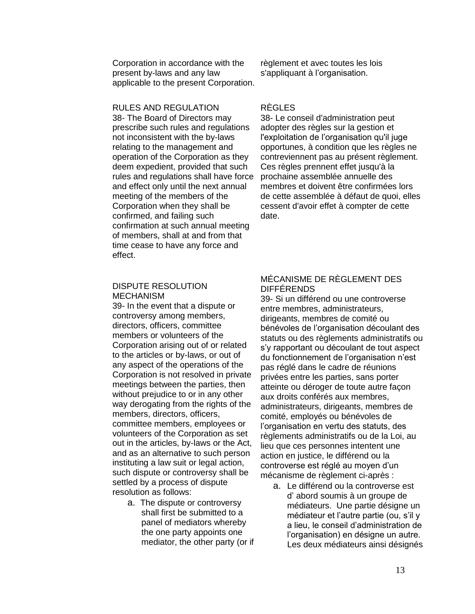Corporation in accordance with the present by-laws and any law applicable to the present Corporation.

# RULES AND REGULATION

38- The Board of Directors may prescribe such rules and regulations not inconsistent with the by-laws relating to the management and operation of the Corporation as they deem expedient, provided that such rules and regulations shall have force and effect only until the next annual meeting of the members of the Corporation when they shall be confirmed, and failing such confirmation at such annual meeting of members, shall at and from that time cease to have any force and effect.

## DISPUTE RESOLUTION MECHANISM

39- In the event that a dispute or controversy among members, directors, officers, committee members or volunteers of the Corporation arising out of or related to the articles or by-laws, or out of any aspect of the operations of the Corporation is not resolved in private meetings between the parties, then without prejudice to or in any other way derogating from the rights of the members, directors, officers, committee members, employees or volunteers of the Corporation as set out in the articles, by-laws or the Act, and as an alternative to such person instituting a law suit or legal action, such dispute or controversy shall be settled by a process of dispute resolution as follows:

> a. The dispute or controversy shall first be submitted to a panel of mediators whereby the one party appoints one mediator, the other party (or if

règlement et avec toutes les lois s'appliquant à l'organisation.

## RÈGLES

38- Le conseil d'administration peut adopter des règles sur la gestion et l'exploitation de l'organisation qu'il juge opportunes, à condition que les règles ne contreviennent pas au présent règlement. Ces règles prennent effet jusqu'à la prochaine assemblée annuelle des membres et doivent être confirmées lors de cette assemblée à défaut de quoi, elles cessent d'avoir effet à compter de cette date.

# MÉCANISME DE RÈGLEMENT DES DIFFÉRENDS

39- Si un différend ou une controverse entre membres, administrateurs, dirigeants, membres de comité ou bénévoles de l'organisation découlant des statuts ou des règlements administratifs ou s'y rapportant ou découlant de tout aspect du fonctionnement de l'organisation n'est pas réglé dans le cadre de réunions privées entre les parties, sans porter atteinte ou déroger de toute autre façon aux droits conférés aux membres, administrateurs, dirigeants, membres de comité, employés ou bénévoles de l'organisation en vertu des statuts, des règlements administratifs ou de la Loi, au lieu que ces personnes intentent une action en justice, le différend ou la controverse est réglé au moyen d'un mécanisme de règlement ci-après :

a. Le différend ou la controverse est d' abord soumis à un groupe de médiateurs. Une partie désigne un médiateur et l'autre partie (ou, s'il y a lieu, le conseil d'administration de l'organisation) en désigne un autre. Les deux médiateurs ainsi désignés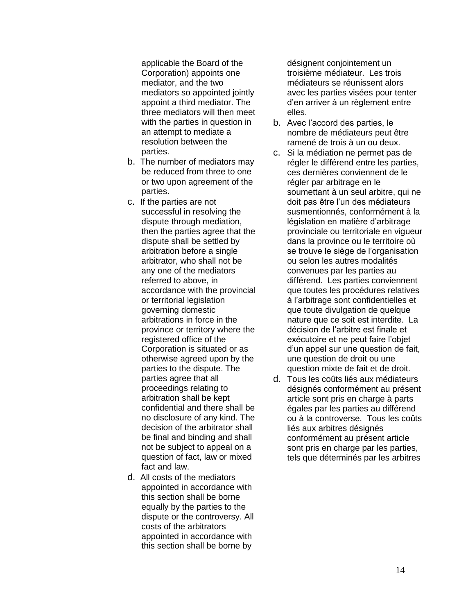applicable the Board of the Corporation) appoints one mediator, and the two mediators so appointed jointly appoint a third mediator. The three mediators will then meet with the parties in question in an attempt to mediate a resolution between the parties.

- b. The number of mediators may be reduced from three to one or two upon agreement of the parties.
- c. If the parties are not successful in resolving the dispute through mediation, then the parties agree that the dispute shall be settled by arbitration before a single arbitrator, who shall not be any one of the mediators referred to above, in accordance with the provincial or territorial legislation governing domestic arbitrations in force in the province or territory where the registered office of the Corporation is situated or as otherwise agreed upon by the parties to the dispute. The parties agree that all proceedings relating to arbitration shall be kept confidential and there shall be no disclosure of any kind. The decision of the arbitrator shall be final and binding and shall not be subject to appeal on a question of fact, law or mixed fact and law.
- d. All costs of the mediators appointed in accordance with this section shall be borne equally by the parties to the dispute or the controversy. All costs of the arbitrators appointed in accordance with this section shall be borne by

désignent conjointement un troisième médiateur. Les trois médiateurs se réunissent alors avec les parties visées pour tenter d'en arriver à un règlement entre elles.

- b. Avec l'accord des parties, le nombre de médiateurs peut être ramené de trois à un ou deux.
- c. Si la médiation ne permet pas de régler le différend entre les parties, ces dernières conviennent de le régler par arbitrage en le soumettant à un seul arbitre, qui ne doit pas être l'un des médiateurs susmentionnés, conformément à la législation en matière d'arbitrage provinciale ou territoriale en vigueur dans la province ou le territoire où se trouve le siège de l'organisation ou selon les autres modalités convenues par les parties au différend. Les parties conviennent que toutes les procédures relatives à l'arbitrage sont confidentielles et que toute divulgation de quelque nature que ce soit est interdite. La décision de l'arbitre est finale et exécutoire et ne peut faire l'objet d'un appel sur une question de fait, une question de droit ou une question mixte de fait et de droit.
- d. Tous les coûts liés aux médiateurs désignés conformément au présent article sont pris en charge à parts égales par les parties au différend ou à la controverse. Tous les coûts liés aux arbitres désignés conformément au présent article sont pris en charge par les parties, tels que déterminés par les arbitres